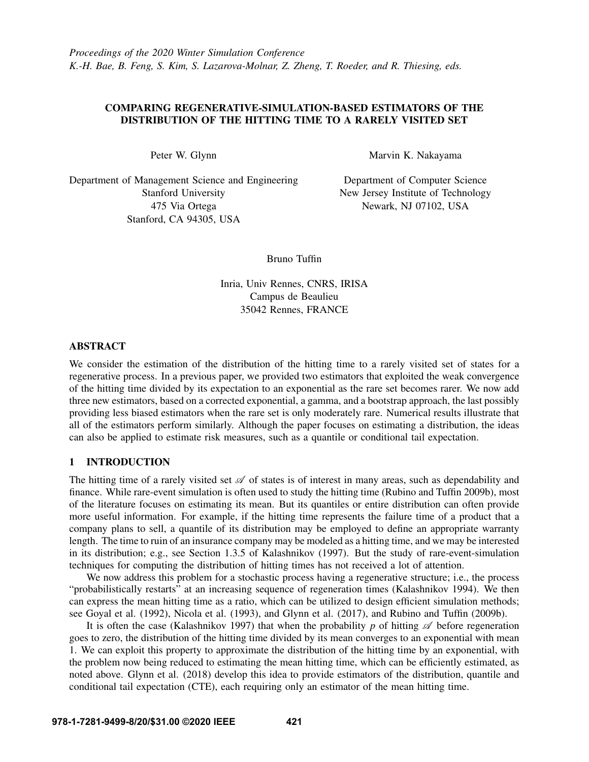# COMPARING REGENERATIVE-SIMULATION-BASED ESTIMATORS OF THE DISTRIBUTION OF THE HITTING TIME TO A RARELY VISITED SET

Peter W. Glynn

Department of Management Science and Engineering Stanford University 475 Via Ortega Stanford, CA 94305, USA

Marvin K. Nakayama

Department of Computer Science New Jersey Institute of Technology Newark, NJ 07102, USA

Bruno Tuffin

Inria, Univ Rennes, CNRS, IRISA Campus de Beaulieu 35042 Rennes, FRANCE

## ABSTRACT

We consider the estimation of the distribution of the hitting time to a rarely visited set of states for a regenerative process. In a previous paper, we provided two estimators that exploited the weak convergence of the hitting time divided by its expectation to an exponential as the rare set becomes rarer. We now add three new estimators, based on a corrected exponential, a gamma, and a bootstrap approach, the last possibly providing less biased estimators when the rare set is only moderately rare. Numerical results illustrate that all of the estimators perform similarly. Although the paper focuses on estimating a distribution, the ideas can also be applied to estimate risk measures, such as a quantile or conditional tail expectation.

# 1 INTRODUCTION

The hitting time of a rarely visited set  $\mathscr A$  of states is of interest in many areas, such as dependability and finance. While rare-event simulation is often used to study the hitting time [\(Rubino and Tuffin 2009b\)](#page-11-0), most of the literature focuses on estimating its mean. But its quantiles or entire distribution can often provide more useful information. For example, if the hitting time represents the failure time of a product that a company plans to sell, a quantile of its distribution may be employed to define an appropriate warranty length. The time to ruin of an insurance company may be modeled as a hitting time, and we may be interested in its distribution; e.g., see Section 1.3.5 of [Kalashnikov \(1997\).](#page-11-1) But the study of rare-event-simulation techniques for computing the distribution of hitting times has not received a lot of attention.

We now address this problem for a stochastic process having a regenerative structure; i.e., the process "probabilistically restarts" at an increasing sequence of regeneration times [\(Kalashnikov 1994\)](#page-11-2). We then can express the mean hitting time as a ratio, which can be utilized to design efficient simulation methods; see [Goyal et al. \(1992\),](#page-11-3) [Nicola et al. \(1993\),](#page-11-4) and [Glynn et al. \(2017\),](#page-11-5) and [Rubino and Tuffin \(2009b\).](#page-11-0)

It is often the case [\(Kalashnikov 1997\)](#page-11-1) that when the probability p of hitting  $\mathscr A$  before regeneration goes to zero, the distribution of the hitting time divided by its mean converges to an exponential with mean 1. We can exploit this property to approximate the distribution of the hitting time by an exponential, with the problem now being reduced to estimating the mean hitting time, which can be efficiently estimated, as noted above. [Glynn et al. \(2018\)](#page-11-6) develop this idea to provide estimators of the distribution, quantile and conditional tail expectation (CTE), each requiring only an estimator of the mean hitting time.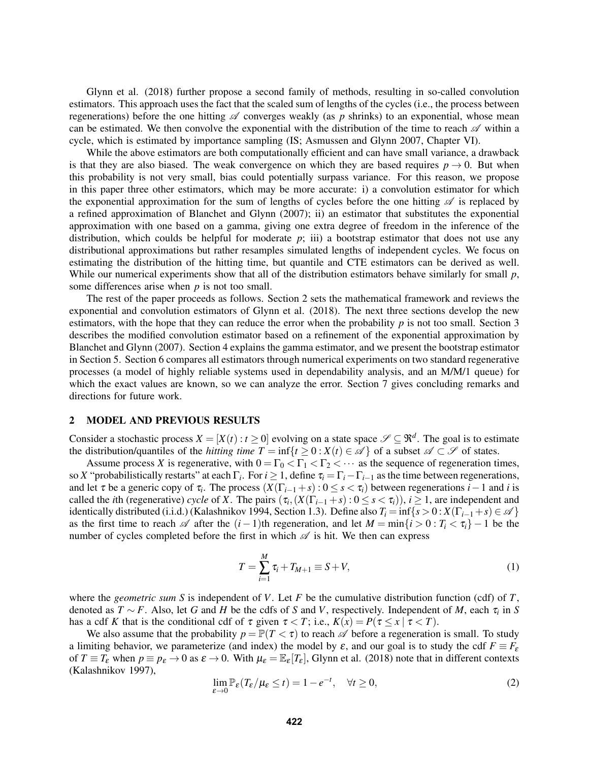[Glynn et al. \(2018\)](#page-11-6) further propose a second family of methods, resulting in so-called convolution estimators. This approach uses the fact that the scaled sum of lengths of the cycles (i.e., the process between regenerations) before the one hitting  $\mathscr A$  converges weakly (as p shrinks) to an exponential, whose mean can be estimated. We then convolve the exponential with the distribution of the time to reach  $\mathscr A$  within a cycle, which is estimated by importance sampling (IS; [Asmussen and Glynn 2007,](#page-11-7) Chapter VI).

While the above estimators are both computationally efficient and can have small variance, a drawback is that they are also biased. The weak convergence on which they are based requires  $p \rightarrow 0$ . But when this probability is not very small, bias could potentially surpass variance. For this reason, we propose in this paper three other estimators, which may be more accurate: i) a convolution estimator for which the exponential approximation for the sum of lengths of cycles before the one hitting  $\mathscr A$  is replaced by a refined approximation of [Blanchet and Glynn \(2007\);](#page-11-8) ii) an estimator that substitutes the exponential approximation with one based on a gamma, giving one extra degree of freedom in the inference of the distribution, which coulds be helpful for moderate  $p$ ; iii) a bootstrap estimator that does not use any distributional approximations but rather resamples simulated lengths of independent cycles. We focus on estimating the distribution of the hitting time, but quantile and CTE estimators can be derived as well. While our numerical experiments show that all of the distribution estimators behave similarly for small *p*, some differences arise when *p* is not too small.

The rest of the paper proceeds as follows. Section [2](#page-1-0) sets the mathematical framework and reviews the exponential and convolution estimators of [Glynn et al. \(2018\).](#page-11-6) The next three sections develop the new estimators, with the hope that they can reduce the error when the probability  $p$  is not too small. Section [3](#page-4-0) describes the modified convolution estimator based on a refinement of the exponential approximation by [Blanchet and Glynn \(2007\).](#page-11-8) Section [4](#page-5-0) explains the gamma estimator, and we present the bootstrap estimator in Section [5.](#page-6-0) Section [6](#page-7-0) compares all estimators through numerical experiments on two standard regenerative processes (a model of highly reliable systems used in dependability analysis, and an M/M/1 queue) for which the exact values are known, so we can analyze the error. Section [7](#page-10-0) gives concluding remarks and directions for future work.

### <span id="page-1-0"></span>2 MODEL AND PREVIOUS RESULTS

Consider a stochastic process  $X = [X(t) : t \ge 0]$  evolving on a state space  $\mathscr{S} \subseteq \mathbb{R}^d$ . The goal is to estimate the distribution/quantiles of the *hitting time*  $T = \inf\{t \ge 0 : X(t) \in \mathcal{A}\}\$  of a subset  $\mathcal{A} \subset \mathcal{S}$  of states.

Assume process *X* is regenerative, with  $0 = \Gamma_0 < \Gamma_1 < \Gamma_2 < \cdots$  as the sequence of regeneration times, so *X* "probabilistically restarts" at each  $\Gamma_i$ . For  $i \geq 1$ , define  $\tau_i = \Gamma_i - \Gamma_{i-1}$  as the time between regenerations, and let  $\tau$  be a generic copy of  $\tau_i$ . The process  $(X(\Gamma_{i-1} + s) : 0 \le s < \tau_i)$  between regenerations  $i-1$  and  $i$  is called the *i*th (regenerative) *cycle* of *X*. The pairs  $(\tau_i, (X(\Gamma_{i-1} + s) : 0 \le s < \tau_i))$ ,  $i \ge 1$ , are independent and identically distributed (i.i.d.) [\(Kalashnikov 1994,](#page-11-2) Section 1.3). Define also  $T_i = \inf\{s > 0 : X(\Gamma_{i-1} + s) \in \mathcal{A}\}\$ as the first time to reach  $\mathscr A$  after the  $(i-1)$ th regeneration, and let  $M = \min\{i > 0 : T_i < \tau_i\} - 1$  be the number of cycles completed before the first in which  $\mathscr A$  is hit. We then can express

<span id="page-1-2"></span>
$$
T = \sum_{i=1}^{M} \tau_i + T_{M+1} \equiv S + V,\tag{1}
$$

where the *geometric sum S* is independent of *V*. Let *F* be the cumulative distribution function (cdf) of *T*, denoted as *T* ∼ *F*. Also, let *G* and *H* be the cdfs of *S* and *V*, respectively. Independent of *M*, each τ*<sup>i</sup>* in *S* has a cdf *K* that is the conditional cdf of  $\tau$  given  $\tau < T$ ; i.e.,  $K(x) = P(\tau \le x \mid \tau < T)$ .

We also assume that the probability  $p = \mathbb{P}(T < \tau)$  to reach  $\mathscr A$  before a regeneration is small. To study a limiting behavior, we parameterize (and index) the model by  $\varepsilon$ , and our goal is to study the cdf  $F \equiv F_{\varepsilon}$ of  $T \equiv T_{\varepsilon}$  when  $p \equiv p_{\varepsilon} \to 0$  as  $\varepsilon \to 0$ . With  $\mu_{\varepsilon} = \mathbb{E}_{\varepsilon}[T_{\varepsilon}]$ , [Glynn et al. \(2018\)](#page-11-6) note that in different contexts [\(Kalashnikov 1997\)](#page-11-1),

<span id="page-1-1"></span>
$$
\lim_{\varepsilon \to 0} \mathbb{P}_{\varepsilon}(T_{\varepsilon}/\mu_{\varepsilon} \le t) = 1 - e^{-t}, \quad \forall t \ge 0,
$$
\n(2)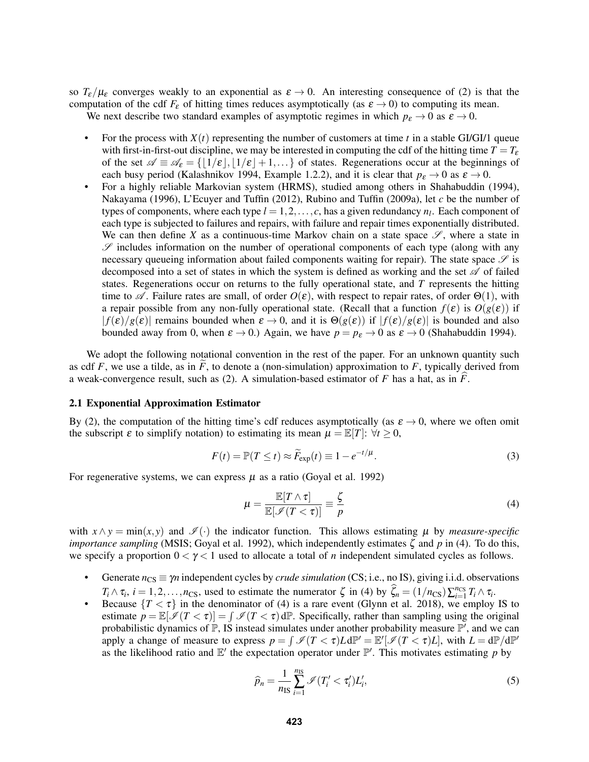so  $T_{\varepsilon}/\mu_{\varepsilon}$  converges weakly to an exponential as  $\varepsilon \to 0$ . An interesting consequence of [\(2\)](#page-1-1) is that the computation of the cdf  $F_{\varepsilon}$  of hitting times reduces asymptotically (as  $\varepsilon \to 0$ ) to computing its mean.

We next describe two standard examples of asymptotic regimes in which  $p_{\varepsilon} \to 0$  as  $\varepsilon \to 0$ .

- For the process with  $X(t)$  representing the number of customers at time  $t$  in a stable GI/GI/1 queue with first-in-first-out discipline, we may be interested in computing the cdf of the hitting time  $T = T_{\epsilon}$ of the set  $\mathscr{A} \equiv \mathscr{A}_{\epsilon} = \{ \lfloor 1/\epsilon \rfloor, \lfloor 1/\epsilon \rfloor + 1, \ldots \}$  of states. Regenerations occur at the beginnings of each busy period [\(Kalashnikov 1994,](#page-11-2) Example 1.2.2), and it is clear that  $p_{\varepsilon} \to 0$  as  $\varepsilon \to 0$ .
- For a highly reliable Markovian system (HRMS), studied among others in [Shahabuddin \(1994\),](#page-11-9) [Nakayama \(1996\),](#page-11-10) [L'Ecuyer and Tuffin \(2012\),](#page-11-11) [Rubino and Tuffin \(2009a\),](#page-11-12) let *c* be the number of types of components, where each type  $l = 1, 2, \ldots, c$ , has a given redundancy  $n_l$ . Each component of each type is subjected to failures and repairs, with failure and repair times exponentially distributed. We can then define X as a continuous-time Markov chain on a state space  $\mathscr{S}$ , where a state in  $\mathscr S$  includes information on the number of operational components of each type (along with any necessary queueing information about failed components waiting for repair). The state space  $\mathscr S$  is decomposed into a set of states in which the system is defined as working and the set  $\mathscr A$  of failed states. Regenerations occur on returns to the fully operational state, and *T* represents the hitting time to  $\mathscr A$ . Failure rates are small, of order  $O(\varepsilon)$ , with respect to repair rates, of order  $\Theta(1)$ , with a repair possible from any non-fully operational state. (Recall that a function  $f(\varepsilon)$  is  $O(g(\varepsilon))$  if  $|f(\varepsilon)/g(\varepsilon)|$  remains bounded when  $\varepsilon \to 0$ , and it is  $\Theta(g(\varepsilon))$  if  $|f(\varepsilon)/g(\varepsilon)|$  is bounded and also bounded away from 0, when  $\varepsilon \to 0$ .) Again, we have  $p = p_{\varepsilon} \to 0$  as  $\varepsilon \to 0$  [\(Shahabuddin 1994\)](#page-11-9).

We adopt the following notational convention in the rest of the paper. For an unknown quantity such as cdf  $F$ , we use a tilde, as in  $F$ , to denote a (non-simulation) approximation to  $F$ , typically derived from a weak-convergence result, such as [\(2\)](#page-1-1). A simulation-based estimator of  $F$  has a hat, as in  $\overline{F}$ .

## <span id="page-2-3"></span>2.1 Exponential Approximation Estimator

By [\(2\)](#page-1-1), the computation of the hitting time's cdf reduces asymptotically (as  $\varepsilon \to 0$ , where we often omit the subscript  $\varepsilon$  to simplify notation) to estimating its mean  $\mu = \mathbb{E}[T]$ :  $\forall t \geq 0$ ,

<span id="page-2-2"></span>
$$
F(t) = \mathbb{P}(T \le t) \approx \widetilde{F}_{\exp}(t) \equiv 1 - e^{-t/\mu}.
$$
 (3)

For regenerative systems, we can express  $\mu$  as a ratio [\(Goyal et al. 1992\)](#page-11-3)

<span id="page-2-0"></span>
$$
\mu = \frac{\mathbb{E}[T \wedge \tau]}{\mathbb{E}[\mathscr{I}(T < \tau)]} \equiv \frac{\zeta}{p} \tag{4}
$$

with  $x \wedge y = \min(x, y)$  and  $\mathscr{I}(\cdot)$  the indicator function. This allows estimating  $\mu$  by *measure-specific importance sampling* (MSIS; [Goyal et al. 1992\)](#page-11-3), which independently estimates ζ and *p* in [\(4\)](#page-2-0). To do this, we specify a proportion  $0 < \gamma < 1$  used to allocate a total of *n* independent simulated cycles as follows.

- Generate  $n_{\text{CS}} \equiv \gamma n$  independent cycles by *crude simulation* (CS; i.e., no IS), giving i.i.d. observations  $T_i \wedge \tau_i$ ,  $i = 1, 2, \ldots, n_{\text{CS}}$ , used to estimate the numerator  $\zeta$  in [\(4\)](#page-2-0) by  $\widehat{\zeta}_n = (1/n_{\text{CS}}) \sum_{i=1}^{n_{\text{CS}}} T_i \wedge \tau_i$ .
- Because  ${T < \tau}$  in the denominator of [\(4\)](#page-2-0) is a rare event [\(Glynn et al. 2018\)](#page-11-6), we employ IS to estimate  $p = \mathbb{E}[\mathscr{I}(T < \tau)] = \int \mathscr{I}(T < \tau) d\mathbb{P}$ . Specifically, rather than sampling using the original probabilistic dynamics of  $\mathbb{P}$ , IS instead simulates under another probability measure  $\mathbb{P}'$ , and we can apply a change of measure to express  $p = \int \mathcal{I}(T < \tau)L d\mathbb{P}' = \mathbb{E}'[\mathcal{I}(T < \tau)L]$ , with  $L = d\mathbb{P}/d\mathbb{P}'$ as the likelihood ratio and  $\mathbb{E}'$  the expectation operator under  $\mathbb{P}'$ . This motivates estimating p by

<span id="page-2-1"></span>
$$
\widehat{p}_n = \frac{1}{n_{\rm IS}} \sum_{i=1}^{n_{\rm IS}} \mathcal{I}(T_i' < \tau_i') L_i',\tag{5}
$$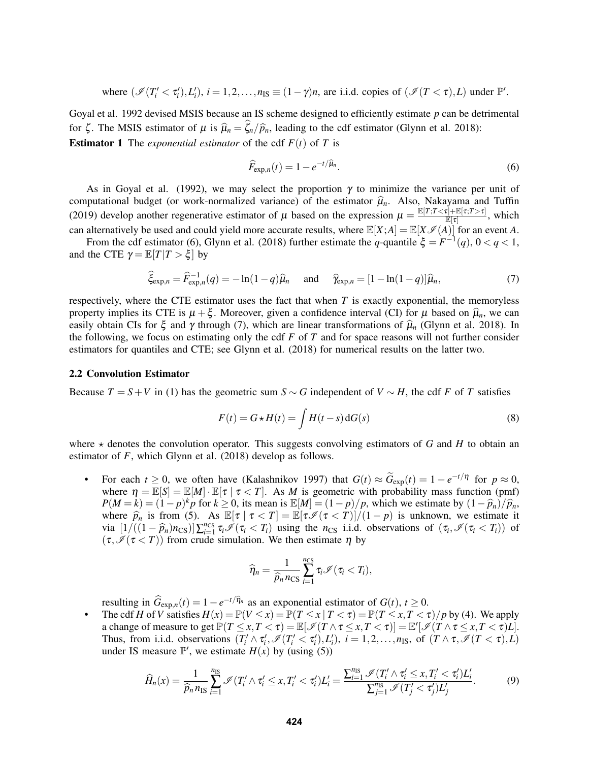where 
$$
(\mathcal{I}(T_i' < \tau_i'), L_i'), i = 1, 2, ..., n_{IS} \equiv (1 - \gamma)n
$$
, are i.i.d. copies of  $(\mathcal{I}(T < \tau), L)$  under  $\mathbb{P}'$ .

[Goyal et al. 1992](#page-11-3) devised MSIS because an IS scheme designed to efficiently estimate *p* can be detrimental for  $\zeta$ . The MSIS estimator of  $\mu$  is  $\hat{\mu}_n = \hat{\zeta}_n/\hat{p}_n$ , leading to the cdf estimator [\(Glynn et al. 2018\)](#page-11-6): **Estimator 1** The *exponential estimator* of the cdf  $F(t)$  of *T* is

<span id="page-3-0"></span>
$$
\widehat{F}_{\exp,n}(t) = 1 - e^{-t/\widehat{\mu}_n}.\tag{6}
$$

As in [Goyal et al. \(1992\),](#page-11-3) we may select the proportion  $\gamma$  to minimize the variance per unit of computational budget (or work-normalized variance) of the estimator  $\hat{\mu}_n$ . Also, [Nakayama and Tuffin](#page-11-13) [\(2019\)](#page-11-13) develop another regenerative estimator of  $\mu$  based on the expression  $\mu = \frac{\mathbb{E}[T;T\leq \tau] + \mathbb{E}[\tau;T> \tau]}{\mathbb{E}[\tau]}$  $\frac{\mathbb{E}[\mathcal{F}]\times \mathbb{E}[\mathcal{F}]}{\mathbb{E}[\mathcal{F}]}$ , which can alternatively be used and could yield more accurate results, where  $\mathbb{E}[X;A] = \mathbb{E}[X \mathscr{I}(A)]$  for an event *A*.

From the cdf estimator [\(6\)](#page-3-0), [Glynn et al. \(2018\)](#page-11-6) further estimate the *q*-quantile  $\xi = F^{-1}(q)$ ,  $0 < q < 1$ , and the CTE  $\gamma = \mathbb{E}[T|T > \xi]$  by

<span id="page-3-1"></span>
$$
\widehat{\xi}_{\exp,n} = \widehat{F}_{\exp,n}^{-1}(q) = -\ln(1-q)\widehat{\mu}_n \quad \text{and} \quad \widehat{\gamma}_{\exp,n} = [1 - \ln(1-q)]\widehat{\mu}_n,\tag{7}
$$

respectively, where the CTE estimator uses the fact that when *T* is exactly exponential, the memoryless property implies its CTE is  $\mu + \xi$ . Moreover, given a confidence interval (CI) for  $\mu$  based on  $\hat{\mu}_n$ , we can easily obtain CIs for  $\xi$  and  $\gamma$  through [\(7\)](#page-3-1), which are linear transformations of  $\hat{\mu}_n$  [\(Glynn et al. 2018\)](#page-11-6). In the following, we focus on estimating only the cdf *F* of *T* and for space reasons will not further consider estimators for quantiles and CTE; see [Glynn et al. \(2018\)](#page-11-6) for numerical results on the latter two.

#### <span id="page-3-2"></span>2.2 Convolution Estimator

Because  $T = S + V$  in [\(1\)](#page-1-2) has the geometric sum  $S \sim G$  independent of  $V \sim H$ , the cdf *F* of *T* satisfies

<span id="page-3-4"></span>
$$
F(t) = G \star H(t) = \int H(t - s) dG(s)
$$
\n(8)

where  $\star$  denotes the convolution operator. This suggests convolving estimators of *G* and *H* to obtain an estimator of *F*, which [Glynn et al. \(2018\)](#page-11-6) develop as follows.

• For each  $t \geq 0$ , we often have [\(Kalashnikov 1997\)](#page-11-1) that  $G(t) \approx \widetilde{G}_{exp}(t) = 1 - e^{-t/\eta}$  for  $p \approx 0$ , where  $\eta = \mathbb{E}[S] = \mathbb{E}[M] \cdot \mathbb{E}[\tau | \tau \langle T]$ . As *M* is geometric with probability mass function (pmf)  $P(M = k) = (1 - p)^k p$  for  $k \ge 0$ , its mean is  $\mathbb{E}[M] = (1 - p)/p$ , which we estimate by  $(1 - \hat{p}_n)/\hat{p}_n$ , where  $\hat{p}_n$  is from (5) As  $\mathbb{E}[x | x < T] - \mathbb{E}[x \notin (x < T)]/(1 - p)$  is unknown, we estimate it where  $\hat{p}_n$  is from [\(5\)](#page-2-1). As  $\mathbb{E}[\tau | \tau < T] = \mathbb{E}[\tau \mathcal{I}(\tau < T)]/(1-p)$  is unknown, we estimate it via  $\left[1/((1-\hat{p}_n)n_{CS})\right]\sum_{i=1}^{n_{CS}}\tau_i\mathcal{I}(\tau_i < T_i)$  using the  $n_{CS}$  i.i.d. observations of  $(\tau_i, \mathcal{I}(\tau_i < T_i))$  of  $(\tau_i \mathcal{I}(\tau_i < T_i))$  from crude simulation. We then estimate *n* by  $(\tau, \mathcal{I}(\tau < T))$  from crude simulation. We then estimate  $\eta$  by

$$
\widehat{\eta}_n = \frac{1}{\widehat{p}_n n_{\text{CS}}} \sum_{i=1}^{n_{\text{CS}}} \tau_i \mathcal{I}(\tau_i < T_i),
$$

resulting in  $\widehat{G}_{\exp,n}(t) = 1 - e^{-t/\widehat{\eta}_n}$  as an exponential estimator of  $G(t), t \ge 0$ .

The cdf *H* of *V* satisfies  $H(x) = \mathbb{P}(V \le x) = \mathbb{P}(T \le x | T < \tau) = \mathbb{P}(T \le x, T < \tau)/p$  by [\(4\)](#page-2-0). We apply a change of measure to get  $\mathbb{P}(T \leq x, T < \tau) = \mathbb{E}[\mathcal{I}(T \wedge \tau \leq x, T < \tau)] = \mathbb{E}'[\mathcal{I}(T \wedge \tau \leq x, T < \tau)L].$ Thus, from i.i.d. observations  $(T_i' \wedge \tau_i', \mathscr{I}(T_i' < \tau_i'), L_i')$ ,  $i = 1, 2, ..., n$ <sub>IS</sub>, of  $(T \wedge \tau, \mathscr{I}(T < \tau), L)$ under IS measure  $\mathbb{P}'$ , we estimate  $H(x)$  by (using [\(5\)](#page-2-1))

<span id="page-3-3"></span>
$$
\widehat{H}_n(x) = \frac{1}{\widehat{p}_n n_{\text{IS}}} \sum_{i=1}^{n_{\text{IS}}} \mathscr{I}(T_i' \wedge \tau_i' \le x, T_i' < \tau_i') L_i' = \frac{\sum_{i=1}^{n_{\text{IS}}} \mathscr{I}(T_i' \wedge \tau_i' \le x, T_i' < \tau_i') L_i'}{\sum_{j=1}^{n_{\text{IS}}} \mathscr{I}(T_j' < \tau_j') L_j'}.\tag{9}
$$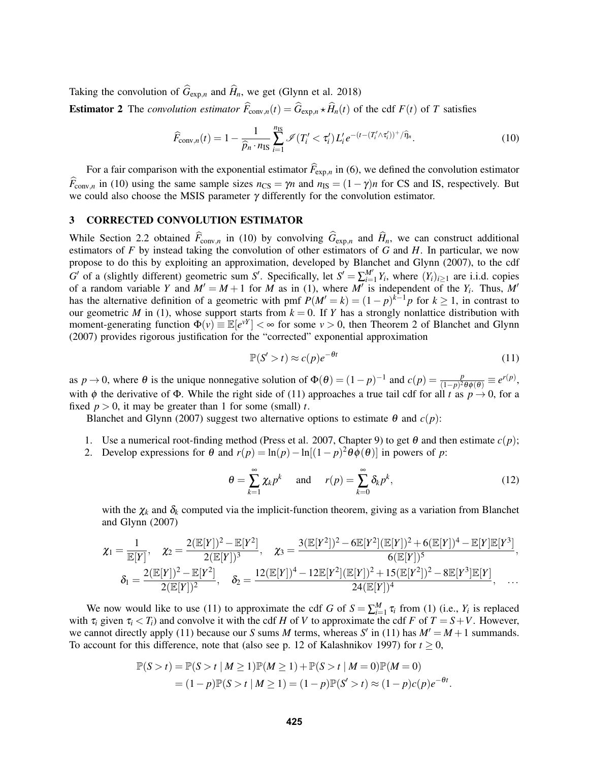Taking the convolution of  $\hat{G}_{\text{exp},n}$  and  $\hat{H}_n$ , we get [\(Glynn et al. 2018\)](#page-11-6)

**Estimator 2** The *convolution estimator*  $\widehat{F}_{\text{conv},n}(t) = \widehat{G}_{\text{exp},n} \star \widehat{H}_n(t)$  of the cdf  $F(t)$  of *T* satisfies

<span id="page-4-1"></span>
$$
\widehat{F}_{\text{conv},n}(t) = 1 - \frac{1}{\widehat{p}_n \cdot n_{\text{IS}}} \sum_{i=1}^{n_{\text{IS}}} \mathcal{I}(T_i' < \tau_i') L_i' e^{-(t - (T_i' \wedge \tau_i'))^+ / \widehat{\eta}_n}.\tag{10}
$$

For a fair comparison with the exponential estimator  $\widehat{F}_{\exp,n}$  in [\(6\)](#page-3-0), we defined the convolution estimator  $\overline{F}_{\text{conv},n}$  in [\(10\)](#page-4-1) using the same sample sizes  $n_{\text{CS}} = \gamma n$  and  $n_{\text{IS}} = (1 - \gamma)n$  for CS and IS, respectively. But we could also choose the MSIS parameter  $\gamma$  differently for the convolution estimator.

## <span id="page-4-0"></span>3 CORRECTED CONVOLUTION ESTIMATOR

While Section [2.2](#page-3-2) obtained  $\hat{F}_{\text{conv},n}$  in [\(10\)](#page-4-1) by convolving  $\hat{G}_{\text{exp},n}$  and  $\hat{H}_n$ , we can construct additional estimators of *F* by instead taking the convolution of other estimators of *G* and *H*. In particular, we now propose to do this by exploiting an approximation, developed by [Blanchet and Glynn \(2007\),](#page-11-8) to the cdf *G*<sup> $\prime$ </sup> of a (slightly different) geometric sum *S*<sup> $\prime$ </sup>. Specifically, let *S*<sup> $\prime$ </sup> =  $\sum_{i=1}^{M'} Y_i$ , where  $(Y_i)_{i\geq 1}$  are i.i.d. copies of a random variable *Y* and  $M' = M + 1$  for *M* as in [\(1\)](#page-1-2), where  $M'$  is independent of the  $Y_i$ . Thus,  $M'$ has the alternative definition of a geometric with pmf  $P(M' = k) = (1 - p)^{k-1}p$  for  $k \ge 1$ , in contrast to our geometric *M* in [\(1\)](#page-1-2), whose support starts from  $k = 0$ . If *Y* has a strongly nonlattice distribution with moment-generating function  $\Phi(v) \equiv \mathbb{E}[e^{vY}] < \infty$  for some  $v > 0$ , then Theorem 2 of [Blanchet and Glynn](#page-11-8) [\(2007\)](#page-11-8) provides rigorous justification for the "corrected" exponential approximation

<span id="page-4-2"></span>
$$
\mathbb{P}(S' > t) \approx c(p)e^{-\theta t} \tag{11}
$$

as  $p \to 0$ , where  $\theta$  is the unique nonnegative solution of  $\Phi(\theta) = (1 - p)^{-1}$  and  $c(p) = \frac{p}{(1 - p)^2 \theta(\theta)} \equiv e^{r(p)}$ , with  $\phi$  the derivative of  $\Phi$ . While the right side of [\(11\)](#page-4-2) approaches a true tail cdf for all *t* as  $p \to 0$ , for a fixed  $p > 0$ , it may be greater than 1 for some (small) *t*.

[Blanchet and Glynn \(2007\)](#page-11-8) suggest two alternative options to estimate  $\theta$  and  $c(p)$ :

1. Use a numerical root-finding method [\(Press et al. 2007,](#page-11-14) Chapter 9) to get  $\theta$  and then estimate  $c(p)$ ; 2. Develop expressions for  $\theta$  and  $r(p) = \ln(p) - \ln[(1-p)^2 \theta \phi(\theta)]$  in powers of *p*:

<span id="page-4-3"></span>
$$
\theta = \sum_{k=1}^{\infty} \chi_k p^k \quad \text{and} \quad r(p) = \sum_{k=0}^{\infty} \delta_k p^k,
$$
 (12)

with the  $\chi_k$  and  $\delta_k$  computed via the implicit-function theorem, giving as a variation from [Blanchet](#page-11-8) [and Glynn \(2007\)](#page-11-8)

$$
\chi_1 = \frac{1}{\mathbb{E}[Y]}, \quad \chi_2 = \frac{2(\mathbb{E}[Y])^2 - \mathbb{E}[Y^2]}{2(\mathbb{E}[Y])^3}, \quad \chi_3 = \frac{3(\mathbb{E}[Y^2])^2 - 6\mathbb{E}[Y^2](\mathbb{E}[Y])^2 + 6(\mathbb{E}[Y])^4 - \mathbb{E}[Y]\mathbb{E}[Y^3]}{6(\mathbb{E}[Y])^5}, \delta_1 = \frac{2(\mathbb{E}[Y])^2 - \mathbb{E}[Y^2]}{2(\mathbb{E}[Y])^2}, \quad \delta_2 = \frac{12(\mathbb{E}[Y])^4 - 12\mathbb{E}[Y^2](\mathbb{E}[Y])^2 + 15(\mathbb{E}[Y^2])^2 - 8\mathbb{E}[Y^3]\mathbb{E}[Y]}{24(\mathbb{E}[Y])^4}, \quad \dots
$$

We now would like to use [\(11\)](#page-4-2) to approximate the cdf *G* of  $S = \sum_{i=1}^{M} \tau_i$  from [\(1\)](#page-1-2) (i.e.,  $Y_i$  is replaced with  $\tau_i$  given  $\tau_i < T_i$  and convolve it with the cdf *H* of *V* to approximate the cdf *F* of  $T = S + V$ . However, we cannot directly apply [\(11\)](#page-4-2) because our *S* sums *M* terms, whereas *S'* in (11) has  $M' = M + 1$  summands. To account for this difference, note that (also see p. 12 of [Kalashnikov 1997\)](#page-11-1) for  $t \ge 0$ ,

$$
\mathbb{P}(S > t) = \mathbb{P}(S > t | M \ge 1) \mathbb{P}(M \ge 1) + \mathbb{P}(S > t | M = 0) \mathbb{P}(M = 0)
$$
  
= (1 - p)  $\mathbb{P}(S > t | M \ge 1) = (1 - p) \mathbb{P}(S' > t) \approx (1 - p)c(p)e^{-\theta t}$ .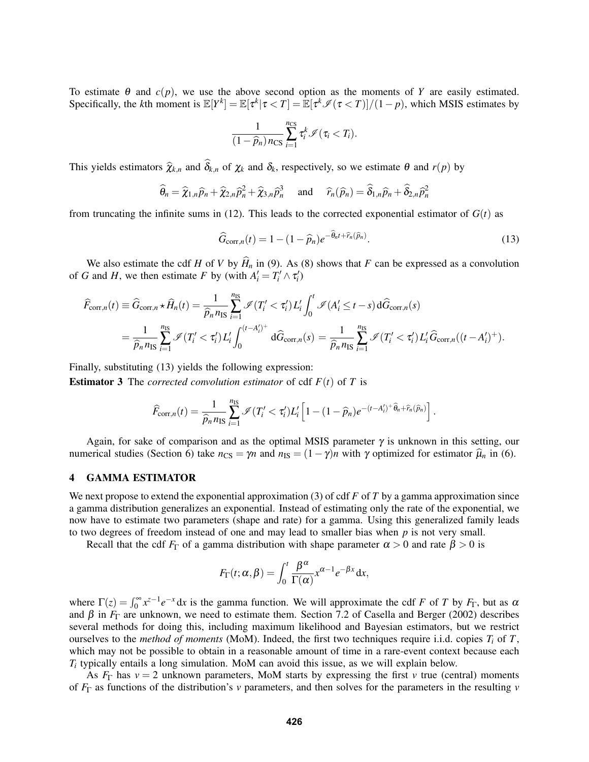To estimate  $\theta$  and  $c(p)$ , we use the above second option as the moments of *Y* are easily estimated. Specifically, the *k*th moment is  $\mathbb{E}[Y^k] = \mathbb{E}[\tau^k | \tau < T] = \mathbb{E}[\tau^k \mathcal{I}(\tau < T)]/(1-p)$ , which MSIS estimates by

$$
\frac{1}{(1-\widehat{p}_n)\,n_{\text{CS}}}\sum_{i=1}^{n_{\text{CS}}}\tau_i^k\mathscr{I}(\tau_i\lt T_i).
$$

This yields estimators  $\hat{\chi}_{k,n}$  and  $\hat{\delta}_{k,n}$  of  $\chi_k$  and  $\delta_k$ , respectively, so we estimate  $\theta$  and  $r(p)$  by

$$
\widehat{\theta}_n = \widehat{\chi}_{1,n}\widehat{p}_n + \widehat{\chi}_{2,n}\widehat{p}_n^2 + \widehat{\chi}_{3,n}\widehat{p}_n^3 \quad \text{ and } \quad \widehat{r}_n(\widehat{p}_n) = \widehat{\delta}_{1,n}\widehat{p}_n + \widehat{\delta}_{2,n}\widehat{p}_n^2
$$

from truncating the infinite sums in [\(12\)](#page-4-3). This leads to the corrected exponential estimator of  $G(t)$  as

<span id="page-5-1"></span>
$$
\widehat{G}_{\text{corr},n}(t) = 1 - (1 - \widehat{p}_n)e^{-\widehat{\theta}_n t + \widehat{r}_n(\widehat{p}_n)}.
$$
\n(13)

We also estimate the cdf *H* of *V* by  $\hat{H}_n$  in [\(9\)](#page-3-3). As [\(8\)](#page-3-4) shows that *F* can be expressed as a convolution of *G* and *H*, we then estimate *F* by (with  $A'_i = T'_i \wedge \tau'_i$ )

$$
\widehat{F}_{\text{corr},n}(t) \equiv \widehat{G}_{\text{corr},n} \star \widehat{H}_n(t) = \frac{1}{\widehat{p}_n n_{\text{IS}}} \sum_{i=1}^{n_{\text{IS}}} \mathcal{I}(T_i' < \tau_i') L_i' \int_0^t \mathcal{I}(A_i' \le t - s) d\widehat{G}_{\text{corr},n}(s)
$$
\n
$$
= \frac{1}{\widehat{p}_n n_{\text{IS}}} \sum_{i=1}^{n_{\text{IS}}} \mathcal{I}(T_i' < \tau_i') L_i' \int_0^{(t - A_i')^+} d\widehat{G}_{\text{corr},n}(s) = \frac{1}{\widehat{p}_n n_{\text{IS}}} \sum_{i=1}^{n_{\text{IS}}} \mathcal{I}(T_i' < \tau_i') L_i' \widehat{G}_{\text{corr},n}((t - A_i')^+).
$$

Finally, substituting [\(13\)](#page-5-1) yields the following expression:

**Estimator 3** The *corrected convolution estimator* of cdf  $F(t)$  of *T* is

$$
\widehat{F}_{\text{corr},n}(t) = \frac{1}{\widehat{p}_n n_{\text{IS}}}\sum_{i=1}^{n_{\text{IS}}}\mathscr{I}(T_i' < \tau_i')L_i'\left[1-(1-\widehat{p}_n)e^{-(t-A_i')^+\widehat{\theta}_n+\widehat{r}_n(\widehat{p}_n)}\right].
$$

Again, for sake of comparison and as the optimal MSIS parameter  $\gamma$  is unknown in this setting, our numerical studies (Section [6\)](#page-7-0) take  $n_{\text{CS}} = \gamma n$  and  $n_{\text{IS}} = (1 - \gamma)n$  with  $\gamma$  optimized for estimator  $\hat{\mu}_n$  in [\(6\)](#page-3-0).

## <span id="page-5-0"></span>4 GAMMA ESTIMATOR

We next propose to extend the exponential approximation [\(3\)](#page-2-2) of cdf *F* of *T* by a gamma approximation since a gamma distribution generalizes an exponential. Instead of estimating only the rate of the exponential, we now have to estimate two parameters (shape and rate) for a gamma. Using this generalized family leads to two degrees of freedom instead of one and may lead to smaller bias when *p* is not very small.

Recall that the cdf  $F_{\Gamma}$  of a gamma distribution with shape parameter  $\alpha > 0$  and rate  $\beta > 0$  is

$$
F_{\Gamma}(t; \alpha, \beta) = \int_0^t \frac{\beta^{\alpha}}{\Gamma(\alpha)} x^{\alpha-1} e^{-\beta x} dx,
$$

where  $\Gamma(z) = \int_0^\infty x^{z-1} e^{-x} dx$  is the gamma function. We will approximate the cdf *F* of *T* by *F*<sub>Γ</sub>, but as  $\alpha$ and  $\beta$  in  $F_{\Gamma}$  are unknown, we need to estimate them. Section 7.2 of [Casella and Berger \(2002\)](#page-11-15) describes several methods for doing this, including maximum likelihood and Bayesian estimators, but we restrict ourselves to the *method of moments* (MoM). Indeed, the first two techniques require i.i.d. copies  $T_i$  of  $T$ , which may not be possible to obtain in a reasonable amount of time in a rare-event context because each *Ti* typically entails a long simulation. MoM can avoid this issue, as we will explain below.

As  $F_{\Gamma}$  has  $v = 2$  unknown parameters, MoM starts by expressing the first *v* true (central) moments of *F*<sup>Γ</sup> as functions of the distribution's *v* parameters, and then solves for the parameters in the resulting *v*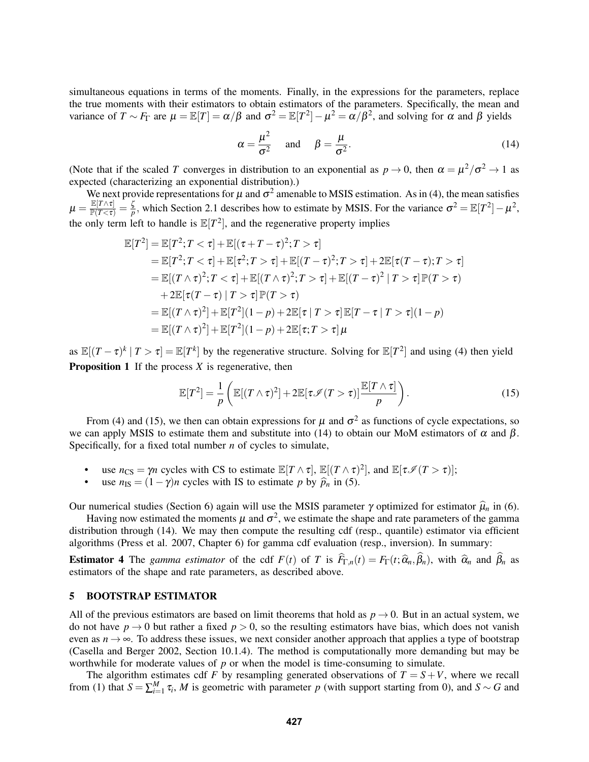simultaneous equations in terms of the moments. Finally, in the expressions for the parameters, replace the true moments with their estimators to obtain estimators of the parameters. Specifically, the mean and variance of  $T \sim F_{\Gamma}$  are  $\mu = \mathbb{E}[T] = \alpha/\beta$  and  $\sigma^2 = \mathbb{E}[T^2] - \mu^2 = \alpha/\beta^2$ , and solving for  $\alpha$  and  $\beta$  yields

<span id="page-6-2"></span>
$$
\alpha = \frac{\mu^2}{\sigma^2} \quad \text{and} \quad \beta = \frac{\mu}{\sigma^2}.
$$
 (14)

(Note that if the scaled *T* converges in distribution to an exponential as  $p \to 0$ , then  $\alpha = \mu^2/\sigma^2 \to 1$  as expected (characterizing an exponential distribution).)

We next provide representations for  $\mu$  and  $\sigma^2$  amenable to MSIS estimation. As in [\(4\)](#page-2-0), the mean satisfies  $\mu = \frac{\mathbb{E}[T \wedge \tau]}{\mathbb{P}(T < \tau)} = \frac{\zeta}{p}$  $\frac{\zeta}{p}$ , which Section [2.1](#page-2-3) describes how to estimate by MSIS. For the variance  $\sigma^2 = \mathbb{E}[T^2] - \mu^2$ , the only term left to handle is  $\mathbb{E}[T^2]$ , and the regenerative property implies

$$
\mathbb{E}[T^2] = \mathbb{E}[T^2; T < \tau] + \mathbb{E}[(\tau + T - \tau)^2; T > \tau] \n= \mathbb{E}[T^2; T < \tau] + \mathbb{E}[\tau^2; T > \tau] + \mathbb{E}[(T - \tau)^2; T > \tau] + 2\mathbb{E}[\tau(T - \tau); T > \tau] \n= \mathbb{E}[(T \wedge \tau)^2; T < \tau] + \mathbb{E}[(T \wedge \tau)^2; T > \tau] + \mathbb{E}[(T - \tau)^2 | T > \tau] \mathbb{P}(T > \tau) \n+ 2\mathbb{E}[\tau(T - \tau) | T > \tau] \mathbb{P}(T > \tau) \n= \mathbb{E}[(T \wedge \tau)^2] + \mathbb{E}[T^2](1 - p) + 2\mathbb{E}[\tau | T > \tau] \mathbb{E}[T - \tau | T > \tau](1 - p) \n= \mathbb{E}[(T \wedge \tau)^2] + \mathbb{E}[T^2](1 - p) + 2\mathbb{E}[\tau; T > \tau] \mu
$$

as  $\mathbb{E}[(T-\tau)^k | T > \tau] = \mathbb{E}[T^k]$  by the regenerative structure. Solving for  $\mathbb{E}[T^2]$  and using [\(4\)](#page-2-0) then yield **Proposition 1** If the process *X* is regenerative, then

<span id="page-6-1"></span>
$$
\mathbb{E}[T^2] = \frac{1}{p} \left( \mathbb{E}[(T \wedge \tau)^2] + 2 \mathbb{E}[\tau \mathcal{I}(T > \tau)] \frac{\mathbb{E}[T \wedge \tau]}{p} \right).
$$
 (15)

From [\(4\)](#page-2-0) and [\(15\)](#page-6-1), we then can obtain expressions for  $\mu$  and  $\sigma^2$  as functions of cycle expectations, so we can apply MSIS to estimate them and substitute into [\(14\)](#page-6-2) to obtain our MoM estimators of  $\alpha$  and  $\beta$ . Specifically, for a fixed total number *n* of cycles to simulate,

- use  $n_{\text{CS}} = \gamma n$  cycles with CS to estimate  $\mathbb{E}[T \wedge \tau], \mathbb{E}[(T \wedge \tau)^2]$ , and  $\mathbb{E}[\tau \mathcal{I}(T > \tau)];$
- use  $n_{\text{IS}} = (1 \gamma)n$  cycles with IS to estimate *p* by  $\hat{p}_n$  in [\(5\)](#page-2-1).

Our numerical studies (Section [6\)](#page-7-0) again will use the MSIS parameter  $\gamma$  optimized for estimator  $\hat{\mu}_n$  in [\(6\)](#page-3-0).

Having now estimated the moments  $\mu$  and  $\sigma^2$ , we estimate the shape and rate parameters of the gamma distribution through [\(14\)](#page-6-2). We may then compute the resulting cdf (resp., quantile) estimator via efficient algorithms [\(Press et al. 2007,](#page-11-14) Chapter 6) for gamma cdf evaluation (resp., inversion). In summary:

**Estimator 4** The *gamma estimator* of the cdf  $F(t)$  of T is  $F_{\Gamma,n}(t) = F_{\Gamma}(t; \hat{\alpha}_n, \beta_n)$ , with  $\hat{\alpha}_n$  and  $\beta_n$  as estimators of the shape and rate parameters, as described above.

### <span id="page-6-0"></span>5 BOOTSTRAP ESTIMATOR

All of the previous estimators are based on limit theorems that hold as  $p \rightarrow 0$ . But in an actual system, we do not have  $p \rightarrow 0$  but rather a fixed  $p > 0$ , so the resulting estimators have bias, which does not vanish even as  $n \to \infty$ . To address these issues, we next consider another approach that applies a type of bootstrap [\(Casella and Berger 2002,](#page-11-15) Section 10.1.4). The method is computationally more demanding but may be worthwhile for moderate values of *p* or when the model is time-consuming to simulate.

The algorithm estimates cdf *F* by resampling generated observations of  $T = S + V$ , where we recall from [\(1\)](#page-1-2) that  $S = \sum_{i=1}^{M} \tau_i$ , *M* is geometric with parameter *p* (with support starting from 0), and  $S \sim G$  and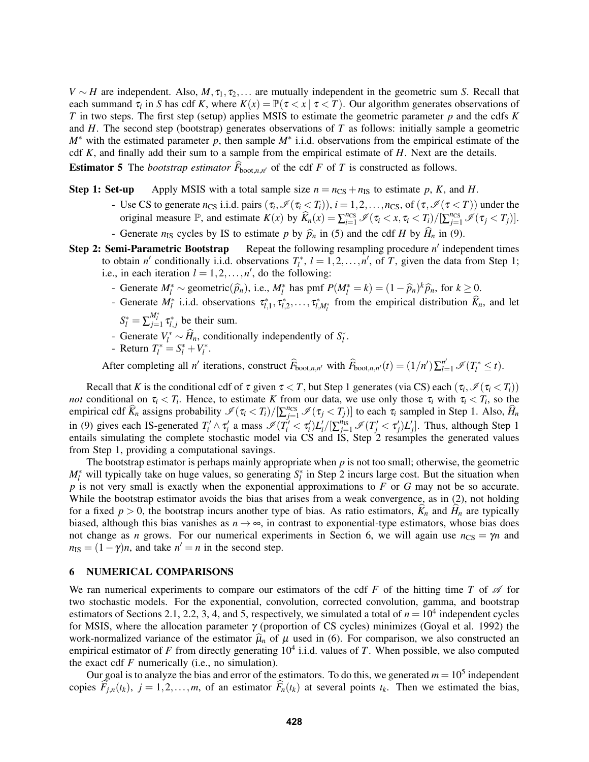*V* ∼ *H* are independent. Also, *M*,  $\tau_1$ ,  $\tau_2$ ,... are mutually independent in the geometric sum *S*. Recall that each summand  $\tau_i$  in *S* has cdf *K*, where  $K(x) = \mathbb{P}(\tau < x \mid \tau < T)$ . Our algorithm generates observations of *T* in two steps. The first step (setup) applies MSIS to estimate the geometric parameter *p* and the cdfs *K* and *H*. The second step (bootstrap) generates observations of *T* as follows: initially sample a geometric *M*<sup>∗</sup> with the estimated parameter *p*, then sample *M*<sup>∗</sup> i.i.d. observations from the empirical estimate of the cdf *K*, and finally add their sum to a sample from the empirical estimate of *H*. Next are the details.

**Estimator 5** The *bootstrap estimator*  $\overline{F}_{\text{boot},n,n'}$  of the cdf  $F$  of  $T$  is constructed as follows.

**Step 1: Set-up** Apply MSIS with a total sample size  $n = n_{CS} + n_{IS}$  to estimate p, K, and H.

- Use CS to generate  $n_{CS}$  i.i.d. pairs  $(\tau_i, \mathcal{I}(\tau_i < T_i))$ ,  $i = 1, 2, ..., n_{CS}$ , of  $(\tau, \mathcal{I}(\tau < T))$  under the original measure  $\mathbb{P}$ , and estimate  $K(x)$  by  $\widehat{K}_n(x) = \sum_{i=1}^{n_{CS}} \mathcal{I}(\tau_i \langle x, \tau_i \langle T_i \rangle) / [\sum_{j=1}^{n_{CS}} \mathcal{I}(\tau_j \langle T_j \rangle)].$
- Generate  $n_{IS}$  cycles by IS to estimate *p* by  $\hat{p}_n$  in [\(5\)](#page-2-1) and the cdf *H* by  $\hat{H}_n$  in [\(9\)](#page-3-3).<br>**Step 2: Semi-Parametric Bootstrap** Repeat the following resampling procedure *n'* indep
- Step 2: Semi-Parametric Bootstrap Repeat the following resampling procedure *n'* independent times to obtain *n'* conditionally i.i.d. observations  $T_l^*$ ,  $l = 1, 2, ..., n'$ , of *T*, given the data from Step 1; i.e., in each iteration  $l = 1, 2, \ldots, n'$ , do the following:
	- *l* Generate  $M_l^* \sim$  geometric( $\hat{p}_n$ ), i.e.,  $M_l^*$  has pmf  $P(M_l^* = k) = (1 \hat{p}_n)^k \hat{p}_n$ , for  $k \ge 0$ .<br>Consumption  $M^*$  i.i.d. absomptions  $\pi^*$ ,  $\pi^*$  from the sumptional distribution  $\hat{p}$ .
	- Generate  $M_l^*$  i.i.d. observations  $\tau_{l,1}^*, \tau_{l,2}^*, \ldots, \tau_{l,M_l^*}^*$  from the empirical distribution  $\widehat{K}_n$ , and let
	- $S_l^* = \sum_{j=1}^{M_l^*} \tau_{l,j}^*$  be their sum.
	- *v* Generate  $V_l^* \sim \widehat{H}_n$ , conditionally independently of  $S_l^*$ .
	- Return  $T_l^* = S_l^* + V_l^*$ .

After completing all *n'* iterations, construct  $\widehat{F}_{\text{boot},n,n'}$  with  $\widehat{F}_{\text{boot},n,n'}(t) = (1/n')\sum_{l=1}^{n'} \mathcal{I}(T_l^* \leq t)$ .

Recall that *K* is the conditional cdf of  $\tau$  given  $\tau < T$ , but Step 1 generates (via CS) each  $(\tau_i, \mathcal{I}(\tau_i < T_i))$ *not* conditional on  $\tau_i < T_i$ . Hence, to estimate *K* from our data, we use only those  $\tau_i$  with  $\tau_i < T_i$ , so the empirical cdf  $\widehat{K}_n$  assigns probability  $\mathcal{I}(\tau_i < T_i)/[\sum_{j=1}^{n_{CS}} \mathcal{I}(\tau_j < T_j)]$  to each  $\tau_i$  sampled in Step 1. Also,  $\widehat{H}_n$ in [\(9\)](#page-3-3) gives each IS-generated  $T'_i \wedge \tau'_i$  a mass  $\mathcal{I}(T'_i < \tau'_i)L'_i/[\sum_{j=1}^{n_{\text{IS}}}\mathcal{I}(T'_j < \tau'_j)L'_j]$ . Thus, although Step 1 entails simulating the complete stochastic model via CS and IS, Step 2 resamples the generated values from Step 1, providing a computational savings.

The bootstrap estimator is perhaps mainly appropriate when *p* is not too small; otherwise, the geometric  $M_l^*$  will typically take on huge values, so generating  $S_l^*$  in Step 2 incurs large cost. But the situation when *p* is not very small is exactly when the exponential approximations to *F* or *G* may not be so accurate. While the bootstrap estimator avoids the bias that arises from a weak convergence, as in [\(2\)](#page-1-1), not holding for a fixed  $p > 0$ , the bootstrap incurs another type of bias. As ratio estimators,  $K_n$  and  $H_n$  are typically biased, although this bias vanishes as  $n \rightarrow \infty$ , in contrast to exponential-type estimators, whose bias does not change as *n* grows. For our numerical experiments in Section [6,](#page-7-0) we will again use  $n_{\text{CS}} = \gamma n$  and  $n_{\text{IS}} = (1 - \gamma)n$ , and take  $n' = n$  in the second step.

## <span id="page-7-0"></span>6 NUMERICAL COMPARISONS

We ran numerical experiments to compare our estimators of the cdf  $F$  of the hitting time  $T$  of  $\mathscr A$  for two stochastic models. For the exponential, convolution, corrected convolution, gamma, and bootstrap estimators of Sections [2.1,](#page-2-3) [2.2,](#page-3-2) [3,](#page-4-0) [4,](#page-5-0) and [5,](#page-6-0) respectively, we simulated a total of  $n = 10<sup>4</sup>$  independent cycles for MSIS, where the allocation parameter γ (proportion of CS cycles) minimizes [\(Goyal et al. 1992\)](#page-11-3) the work-normalized variance of the estimator  $\hat{\mu}_n$  of  $\mu$  used in [\(6\)](#page-3-0). For comparison, we also constructed an empirical estimator of *F* from directly generating  $10^4$  i.i.d. values of *T*. When possible, we also computed the exact cdf *F* numerically (i.e., no simulation).

Our goal is to analyze the bias and error of the estimators. To do this, we generated  $m = 10<sup>5</sup>$  independent copies  $\widehat{F}_{i,n}(t_k)$ ,  $j = 1, 2, ..., m$ , of an estimator  $\widehat{F}_n(t_k)$  at several points  $t_k$ . Then we estimated the bias,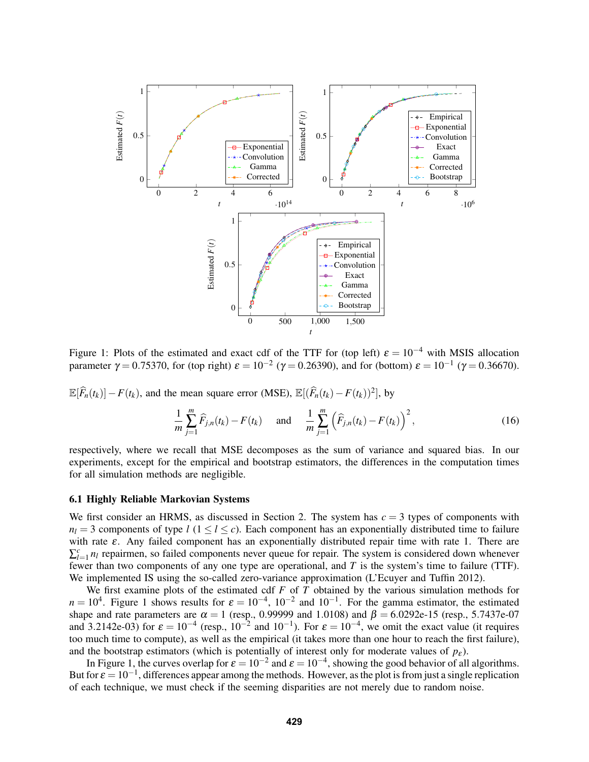

<span id="page-8-0"></span>Figure 1: Plots of the estimated and exact cdf of the TTF for (top left)  $\varepsilon = 10^{-4}$  with MSIS allocation parameter  $\gamma = 0.75370$ , for (top right)  $\varepsilon = 10^{-2}$  ( $\gamma = 0.26390$ ), and for (bottom)  $\varepsilon = 10^{-1}$  ( $\gamma = 0.36670$ ).

<span id="page-8-1"></span>
$$
\mathbb{E}[\widehat{F}_n(t_k)] - F(t_k), \text{ and the mean square error (MSE), } \mathbb{E}[(\widehat{F}_n(t_k) - F(t_k))^2], \text{ by}
$$

$$
\frac{1}{m} \sum_{j=1}^m \widehat{F}_{j,n}(t_k) - F(t_k) \quad \text{and} \quad \frac{1}{m} \sum_{j=1}^m (\widehat{F}_{j,n}(t_k) - F(t_k))^2,
$$
(16)

respectively, where we recall that MSE decomposes as the sum of variance and squared bias. In our experiments, except for the empirical and bootstrap estimators, the differences in the computation times for all simulation methods are negligible.

## 6.1 Highly Reliable Markovian Systems

We first consider an HRMS, as discussed in Section [2.](#page-1-0) The system has  $c = 3$  types of components with  $n_l = 3$  components of type *l* ( $1 \le l \le c$ ). Each component has an exponentially distributed time to failure with rate  $\varepsilon$ . Any failed component has an exponentially distributed repair time with rate 1. There are  $\sum_{l=1}^{c} n_l$  repairmen, so failed components never queue for repair. The system is considered down whenever fewer than two components of any one type are operational, and *T* is the system's time to failure (TTF). We implemented IS using the so-called zero-variance approximation [\(L'Ecuyer and Tuffin 2012\)](#page-11-11).

We first examine plots of the estimated cdf *F* of *T* obtained by the various simulation methods for  $n = 10<sup>4</sup>$  $n = 10<sup>4</sup>$  $n = 10<sup>4</sup>$ . Figure 1 shows results for  $\varepsilon = 10<sup>-4</sup>$ ,  $10<sup>-2</sup>$  and  $10<sup>-1</sup>$ . For the gamma estimator, the estimated shape and rate parameters are  $\alpha = 1$  (resp., 0.99999 and 1.0108) and  $\beta = 6.0292e-15$  (resp., 5.7437e-07) and 3.2142e-03) for  $\varepsilon = 10^{-4}$  (resp.,  $10^{-2}$  and  $10^{-1}$ ). For  $\varepsilon = 10^{-4}$ , we omit the exact value (it requires too much time to compute), as well as the empirical (it takes more than one hour to reach the first failure), and the bootstrap estimators (which is potentially of interest only for moderate values of  $p_{\varepsilon}$ ).

In Figure [1,](#page-8-0) the curves overlap for  $\varepsilon = 10^{-2}$  and  $\varepsilon = 10^{-4}$ , showing the good behavior of all algorithms. But for  $\varepsilon = 10^{-1}$ , differences appear among the methods. However, as the plot is from just a single replication of each technique, we must check if the seeming disparities are not merely due to random noise.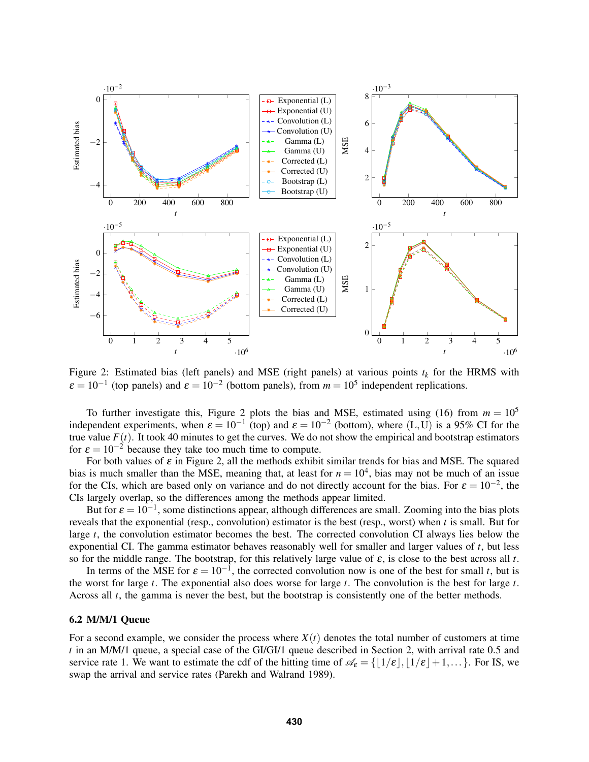

<span id="page-9-0"></span>Figure 2: Estimated bias (left panels) and MSE (right panels) at various points  $t_k$  for the HRMS with  $\varepsilon = 10^{-1}$  (top panels) and  $\varepsilon = 10^{-2}$  (bottom panels), from  $m = 10^5$  independent replications.

To further investigate this, Figure [2](#page-9-0) plots the bias and MSE, estimated using [\(16\)](#page-8-1) from  $m = 10^5$ independent experiments, when  $\varepsilon = 10^{-1}$  (top) and  $\varepsilon = 10^{-2}$  (bottom), where (L,U) is a 95% CI for the true value  $F(t)$ . It took 40 minutes to get the curves. We do not show the empirical and bootstrap estimators for  $\varepsilon = 10^{-2}$  because they take too much time to compute.

For both values of  $\varepsilon$  in Figure [2,](#page-9-0) all the methods exhibit similar trends for bias and MSE. The squared bias is much smaller than the MSE, meaning that, at least for  $n = 10<sup>4</sup>$ , bias may not be much of an issue for the CIs, which are based only on variance and do not directly account for the bias. For  $\varepsilon = 10^{-2}$ , the CIs largely overlap, so the differences among the methods appear limited.

But for  $\varepsilon = 10^{-1}$ , some distinctions appear, although differences are small. Zooming into the bias plots reveals that the exponential (resp., convolution) estimator is the best (resp., worst) when *t* is small. But for large *t*, the convolution estimator becomes the best. The corrected convolution CI always lies below the exponential CI. The gamma estimator behaves reasonably well for smaller and larger values of *t*, but less so for the middle range. The bootstrap, for this relatively large value of  $\varepsilon$ , is close to the best across all  $t$ .

In terms of the MSE for  $\varepsilon = 10^{-1}$ , the corrected convolution now is one of the best for small *t*, but is the worst for large *t*. The exponential also does worse for large *t*. The convolution is the best for large *t*. Across all *t*, the gamma is never the best, but the bootstrap is consistently one of the better methods.

## 6.2 M/M/1 Queue

For a second example, we consider the process where  $X(t)$  denotes the total number of customers at time *t* in an M/M/1 queue, a special case of the GI/GI/1 queue described in Section [2,](#page-1-0) with arrival rate 0.5 and service rate 1. We want to estimate the cdf of the hitting time of  $\mathscr{A}_{\varepsilon} = \{ |1/\varepsilon|, |1/\varepsilon| + 1,... \}$ . For IS, we swap the arrival and service rates [\(Parekh and Walrand 1989\)](#page-11-16).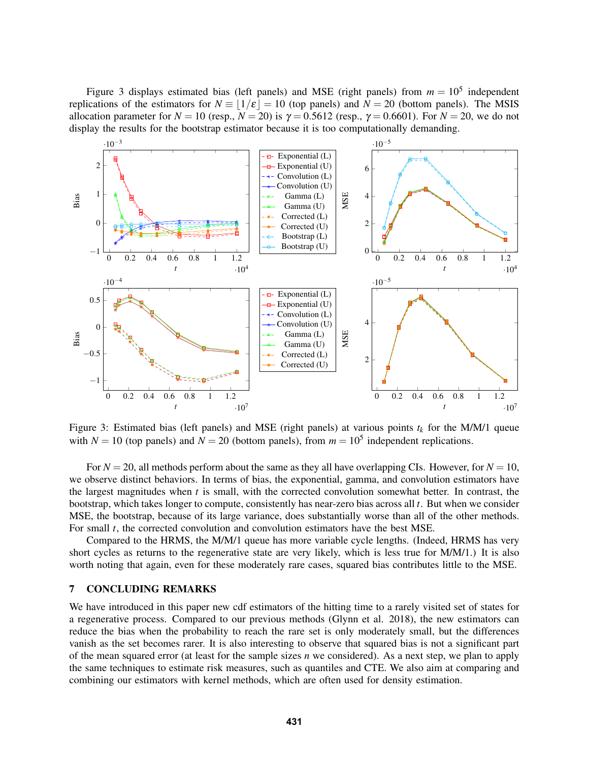Figure [3](#page-10-1) displays estimated bias (left panels) and MSE (right panels) from  $m = 10^5$  independent replications of the estimators for  $N = |1/\varepsilon| = 10$  (top panels) and  $N = 20$  (bottom panels). The MSIS allocation parameter for  $N = 10$  (resp.,  $N = 20$ ) is  $\gamma = 0.5612$  (resp.,  $\gamma = 0.6601$ ). For  $N = 20$ , we do not display the results for the bootstrap estimator because it is too computationally demanding.



<span id="page-10-1"></span>Figure 3: Estimated bias (left panels) and MSE (right panels) at various points  $t_k$  for the M/M/1 queue with  $N = 10$  (top panels) and  $N = 20$  (bottom panels), from  $m = 10^5$  independent replications.

For  $N = 20$ , all methods perform about the same as they all have overlapping CIs. However, for  $N = 10$ , we observe distinct behaviors. In terms of bias, the exponential, gamma, and convolution estimators have the largest magnitudes when *t* is small, with the corrected convolution somewhat better. In contrast, the bootstrap, which takes longer to compute, consistently has near-zero bias across all *t*. But when we consider MSE, the bootstrap, because of its large variance, does substantially worse than all of the other methods. For small *t*, the corrected convolution and convolution estimators have the best MSE.

Compared to the HRMS, the M/M/1 queue has more variable cycle lengths. (Indeed, HRMS has very short cycles as returns to the regenerative state are very likely, which is less true for M/M/1.) It is also worth noting that again, even for these moderately rare cases, squared bias contributes little to the MSE.

## <span id="page-10-0"></span>7 CONCLUDING REMARKS

We have introduced in this paper new cdf estimators of the hitting time to a rarely visited set of states for a regenerative process. Compared to our previous methods [\(Glynn et al. 2018\)](#page-11-6), the new estimators can reduce the bias when the probability to reach the rare set is only moderately small, but the differences vanish as the set becomes rarer. It is also interesting to observe that squared bias is not a significant part of the mean squared error (at least for the sample sizes *n* we considered). As a next step, we plan to apply the same techniques to estimate risk measures, such as quantiles and CTE. We also aim at comparing and combining our estimators with kernel methods, which are often used for density estimation.